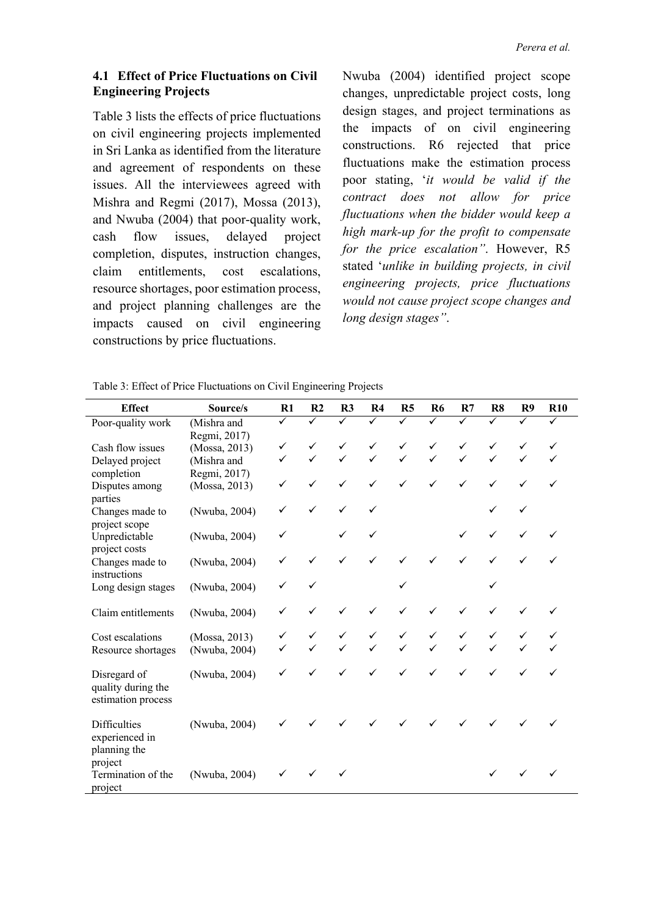### **4.1 Effect of Price Fluctuations on Civil Engineering Projects**

Table 3 lists the effects of price fluctuations on civil engineering projects implemented in Sri Lanka as identified from the literature and agreement of respondents on these issues. All the interviewees agreed with Mishra and Regmi (2017), Mossa (2013), and Nwuba (2004) that poor-quality work, cash flow issues, delayed project completion, disputes, instruction changes, claim entitlements, cost escalations, resource shortages, poor estimation process, and project planning challenges are the impacts caused on civil engineering constructions by price fluctuations.

Nwuba (2004) identified project scope changes, unpredictable project costs, long design stages, and project terminations as the impacts of on civil engineering constructions. R6 rejected that price fluctuations make the estimation process poor stating, '*it would be valid if the contract does not allow for price fluctuations when the bidder would keep a high mark-up for the profit to compensate for the price escalation"*. However, R5 stated '*unlike in building projects, in civil engineering projects, price fluctuations would not cause project scope changes and long design stages"*.

| <b>Effect</b>                                                    | Source/s      | R1 | R <sub>2</sub> | R <sub>3</sub> | R <sub>4</sub> | R <sub>5</sub> | <b>R6</b>    | R7           | R8 | R <sub>9</sub> | <b>R10</b>   |
|------------------------------------------------------------------|---------------|----|----------------|----------------|----------------|----------------|--------------|--------------|----|----------------|--------------|
| Poor-quality work                                                | (Mishra and   | ✓  | ✓              | ✓              | ✓              | ✓              | ✓            |              |    | ✓              |              |
|                                                                  | Regmi, 2017)  |    |                |                |                |                |              |              |    |                |              |
| Cash flow issues                                                 | (Mossa, 2013) | ✓  |                |                | ✓              | ✓              |              |              |    |                |              |
| Delayed project                                                  | (Mishra and   | ✓  |                |                | $\checkmark$   | $\checkmark$   |              |              |    |                |              |
| completion                                                       | Regmi, 2017)  |    |                |                |                |                |              |              |    |                |              |
| Disputes among<br>parties                                        | (Mossa, 2013) | ✓  | $\checkmark$   | ✓              | $\checkmark$   | $\checkmark$   | $\checkmark$ | $\checkmark$ | ✓  | ✓              | $\checkmark$ |
| Changes made to<br>project scope                                 | (Nwuba, 2004) | ✓  | $\checkmark$   | $\checkmark$   | ✓              |                |              |              | ✓  |                |              |
| Unpredictable<br>project costs                                   | (Nwuba, 2004) | ✓  |                | ✓              | ✓              |                |              |              | ✓  | ✓              |              |
| Changes made to<br>instructions                                  | (Nwuba, 2004) | ✓  |                |                | ✓              |                |              |              |    |                |              |
| Long design stages                                               | (Nwuba, 2004) | ✓  |                |                |                |                |              |              |    |                |              |
| Claim entitlements                                               | (Nwuba, 2004) | ✓  |                |                | ✓              |                |              |              |    |                |              |
| Cost escalations                                                 | (Mossa, 2013) |    |                |                | ✓              | ✓              |              |              |    |                |              |
| Resource shortages                                               | (Nwuba, 2004) |    |                |                |                |                |              |              |    |                |              |
| Disregard of<br>quality during the<br>estimation process         | (Nwuba, 2004) |    |                |                |                |                |              |              |    |                | ✓            |
| <b>Difficulties</b><br>experienced in<br>planning the<br>project | (Nwuba, 2004) |    |                |                |                |                |              |              |    |                |              |
| Termination of the<br>project                                    | (Nwuba, 2004) | ✓  | $\checkmark$   |                |                |                |              |              |    |                |              |

Table 3: Effect of Price Fluctuations on Civil Engineering Projects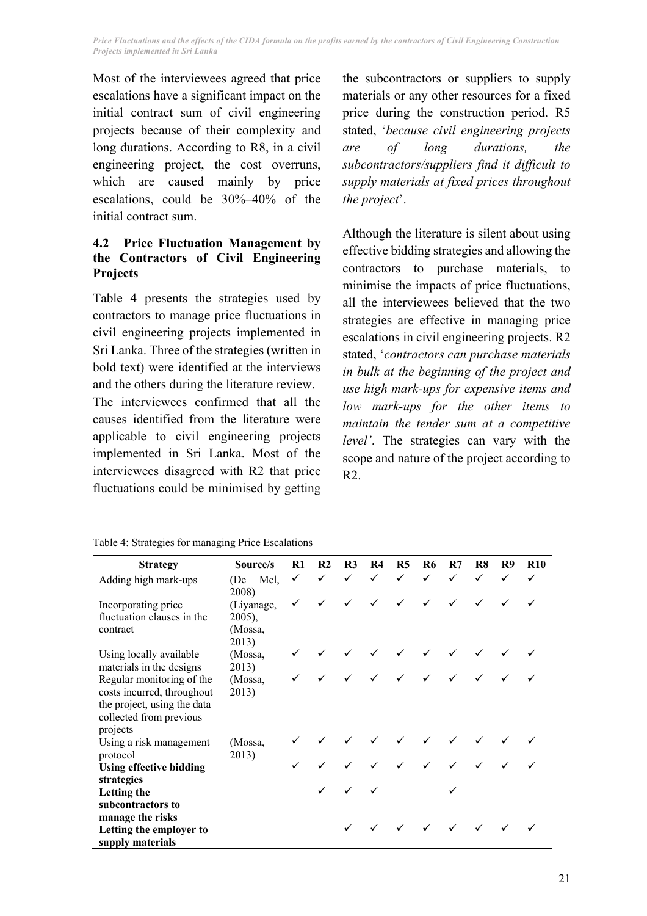*Price Fluctuations and the effects of the CIDA formula on the profits earned by the contractors of Civil Engineering Construction Projects implemented in Sri Lanka* 

Most of the interviewees agreed that price escalations have a significant impact on the initial contract sum of civil engineering projects because of their complexity and long durations. According to R8, in a civil engineering project, the cost overruns, which are caused mainly by price escalations, could be 30%–40% of the initial contract sum.

## **4.2 Price Fluctuation Management by the Contractors of Civil Engineering Projects**

Table 4 presents the strategies used by contractors to manage price fluctuations in civil engineering projects implemented in Sri Lanka. Three of the strategies (written in bold text) were identified at the interviews and the others during the literature review.

The interviewees confirmed that all the causes identified from the literature were applicable to civil engineering projects implemented in Sri Lanka. Most of the interviewees disagreed with R2 that price fluctuations could be minimised by getting the subcontractors or suppliers to supply materials or any other resources for a fixed price during the construction period. R5 stated, '*because civil engineering projects are of long durations, the subcontractors/suppliers find it difficult to supply materials at fixed prices throughout the project*'.

Although the literature is silent about using effective bidding strategies and allowing the contractors to purchase materials, minimise the impacts of price fluctuations, all the interviewees believed that the two strategies are effective in managing price escalations in civil engineering projects. R2 stated, '*contractors can purchase materials in bulk at the beginning of the project and use high mark-ups for expensive items and low mark-ups for the other items to maintain the tender sum at a competitive level'*. The strategies can vary with the scope and nature of the project according to R2.

|  |  |  |  | Table 4: Strategies for managing Price Escalations |
|--|--|--|--|----------------------------------------------------|
|--|--|--|--|----------------------------------------------------|

| <b>Strategy</b>                                                                                                                                           | Source/s                                             | R1           | R <sub>2</sub> | R <sub>3</sub>        | R4                        | <b>R5</b>       | R6                                     | R7           | R8           | R9 | <b>R10</b> |
|-----------------------------------------------------------------------------------------------------------------------------------------------------------|------------------------------------------------------|--------------|----------------|-----------------------|---------------------------|-----------------|----------------------------------------|--------------|--------------|----|------------|
| Adding high mark-ups                                                                                                                                      | (De Mel,                                             | ✓            | $\sqrt{ }$     | $\overline{\sqrt{ }}$ | $\sqrt{ }$                | $\bar{\sqrt{}}$ | $\sqrt{ }$                             | $\checkmark$ |              |    |            |
| Incorporating price<br>fluctuation clauses in the<br>contract                                                                                             | 2008)<br>(Liyanage,<br>$2005$ ),<br>(Mossa,<br>2013) | $\checkmark$ |                | $\checkmark$          | $\checkmark$              | $\checkmark$    |                                        |              | $\checkmark$ |    |            |
| Using locally available                                                                                                                                   | (Mossa,                                              |              |                |                       |                           |                 |                                        |              |              |    |            |
| materials in the designs<br>Regular monitoring of the<br>costs incurred, throughout<br>the project, using the data<br>collected from previous<br>projects | 2013)<br>(Mossa,<br>2013)                            |              |                |                       |                           |                 |                                        |              |              |    |            |
| Using a risk management                                                                                                                                   | (Mossa,                                              |              |                |                       |                           |                 |                                        |              |              |    |            |
| protocol<br><b>Using effective bidding</b>                                                                                                                | 2013)                                                |              |                |                       |                           |                 |                                        |              |              |    |            |
| strategies<br><b>Letting the</b><br>subcontractors to                                                                                                     |                                                      |              |                |                       |                           |                 |                                        |              |              |    |            |
| manage the risks<br>Letting the employer to<br>supply materials                                                                                           |                                                      |              |                | $\checkmark$          | $\checkmark$ $\checkmark$ |                 | $\checkmark$ $\checkmark$ $\checkmark$ |              |              |    |            |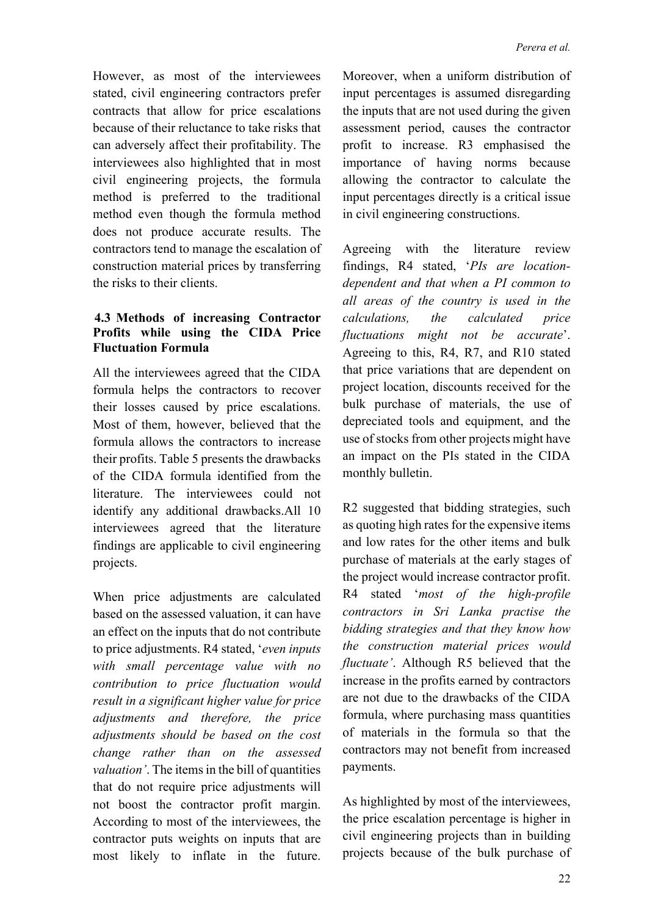However, as most of the interviewees stated, civil engineering contractors prefer contracts that allow for price escalations because of their reluctance to take risks that can adversely affect their profitability. The interviewees also highlighted that in most civil engineering projects, the formula method is preferred to the traditional method even though the formula method does not produce accurate results. The contractors tend to manage the escalation of construction material prices by transferring the risks to their clients.

### **4.3 Methods of increasing Contractor Profits while using the CIDA Price Fluctuation Formula**

All the interviewees agreed that the CIDA formula helps the contractors to recover their losses caused by price escalations. Most of them, however, believed that the formula allows the contractors to increase their profits. Table 5 presents the drawbacks of the CIDA formula identified from the literature. The interviewees could not identify any additional drawbacks.All 10 interviewees agreed that the literature findings are applicable to civil engineering projects.

When price adjustments are calculated based on the assessed valuation, it can have an effect on the inputs that do not contribute to price adjustments. R4 stated, '*even inputs with small percentage value with no contribution to price fluctuation would result in a significant higher value for price adjustments and therefore, the price adjustments should be based on the cost change rather than on the assessed valuation'*. The items in the bill of quantities that do not require price adjustments will not boost the contractor profit margin. According to most of the interviewees, the contractor puts weights on inputs that are most likely to inflate in the future.

Moreover, when a uniform distribution of input percentages is assumed disregarding the inputs that are not used during the given assessment period, causes the contractor profit to increase. R3 emphasised the importance of having norms because allowing the contractor to calculate the input percentages directly is a critical issue in civil engineering constructions.

Agreeing with the literature review findings, R4 stated, '*PIs are locationdependent and that when a PI common to all areas of the country is used in the calculations, the calculated price fluctuations might not be accurate*'. Agreeing to this, R4, R7, and R10 stated that price variations that are dependent on project location, discounts received for the bulk purchase of materials, the use of depreciated tools and equipment, and the use of stocks from other projects might have an impact on the PIs stated in the CIDA monthly bulletin.

R2 suggested that bidding strategies, such as quoting high rates for the expensive items and low rates for the other items and bulk purchase of materials at the early stages of the project would increase contractor profit. R4 stated '*most of the high-profile contractors in Sri Lanka practise the bidding strategies and that they know how the construction material prices would fluctuate'*. Although R5 believed that the increase in the profits earned by contractors are not due to the drawbacks of the CIDA formula, where purchasing mass quantities of materials in the formula so that the contractors may not benefit from increased payments.

As highlighted by most of the interviewees, the price escalation percentage is higher in civil engineering projects than in building projects because of the bulk purchase of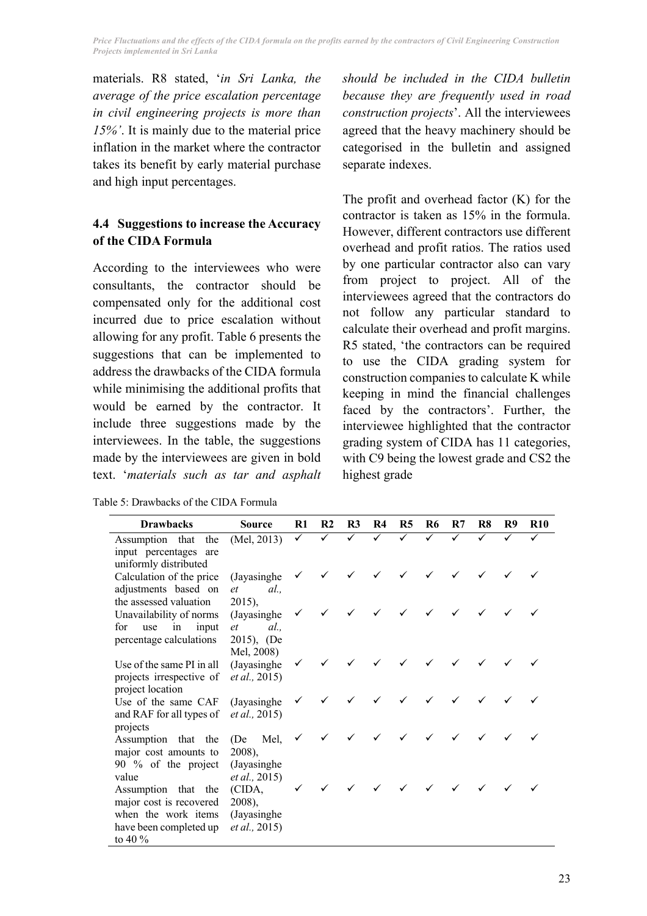*Price Fluctuations and the effects of the CIDA formula on the profits earned by the contractors of Civil Engineering Construction Projects implemented in Sri Lanka* 

materials. R8 stated, '*in Sri Lanka, the average of the price escalation percentage in civil engineering projects is more than 15%'*. It is mainly due to the material price inflation in the market where the contractor takes its benefit by early material purchase and high input percentages.

# **4.4 Suggestions to increase the Accuracy of the CIDA Formula**

According to the interviewees who were consultants, the contractor should be compensated only for the additional cost incurred due to price escalation without allowing for any profit. Table 6 presents the suggestions that can be implemented to address the drawbacks of the CIDA formula while minimising the additional profits that would be earned by the contractor. It include three suggestions made by the interviewees. In the table, the suggestions made by the interviewees are given in bold text. '*materials such as tar and asphalt* 

Table 5: Drawbacks of the CIDA Formula

*should be included in the CIDA bulletin because they are frequently used in road construction projects*'. All the interviewees agreed that the heavy machinery should be categorised in the bulletin and assigned separate indexes.

The profit and overhead factor (K) for the contractor is taken as 15% in the formula. However, different contractors use different overhead and profit ratios. The ratios used by one particular contractor also can vary from project to project. All of the interviewees agreed that the contractors do not follow any particular standard to calculate their overhead and profit margins. R5 stated, 'the contractors can be required to use the CIDA grading system for construction companies to calculate K while keeping in mind the financial challenges faced by the contractors'. Further, the interviewee highlighted that the contractor grading system of CIDA has 11 categories, with C9 being the lowest grade and CS2 the highest grade

| <b>Drawbacks</b>                                  | <b>Source</b>                 | R1           | R <sub>2</sub> | R <sub>3</sub> | <b>R4</b>    | <b>R5</b> | R6 | R7           | R8 | R9 | <b>R10</b> |
|---------------------------------------------------|-------------------------------|--------------|----------------|----------------|--------------|-----------|----|--------------|----|----|------------|
| Assumption that<br>the                            | (Mel, 2013)                   | ✓            | ✓              | $\checkmark$   | $\checkmark$ | ✓         | ✓  | $\checkmark$ | ✓  | ✓  | ✓          |
| input percentages are                             |                               |              |                |                |              |           |    |              |    |    |            |
| uniformly distributed                             |                               |              |                |                |              |           |    |              |    |    |            |
| Calculation of the price                          | (Jayasinghe)                  | $\checkmark$ |                |                | $\checkmark$ |           |    |              |    |    |            |
| adjustments based on                              | al.<br>et                     |              |                |                |              |           |    |              |    |    |            |
| the assessed valuation<br>Unavailability of norms | $2015$ ,<br>(Jayasinghe)      | ✓            |                |                |              |           |    |              |    |    |            |
| in input<br>use<br>for                            | al<br>et                      |              |                |                |              |           |    |              |    |    |            |
| percentage calculations                           | 2015), (De                    |              |                |                |              |           |    |              |    |    |            |
|                                                   | Mel, 2008)                    |              |                |                |              |           |    |              |    |    |            |
| Use of the same PI in all                         | (Jayasinghe                   |              |                |                |              |           |    |              |    |    |            |
| projects irrespective of                          | <i>et al.</i> , 2015)         |              |                |                |              |           |    |              |    |    |            |
| project location                                  |                               |              |                |                |              |           |    |              |    |    |            |
| Use of the same CAF                               | (Jayasinghe)                  | ✓            |                |                |              |           |    |              |    |    |            |
| and RAF for all types of                          | <i>et al.</i> , 2015)         |              |                |                |              |           |    |              |    |    |            |
| projects                                          |                               |              |                |                |              |           |    |              |    |    |            |
| Assumption that the                               | Mel,<br>(De                   | ✓            |                | ✓              |              | ✓         |    |              |    |    |            |
| major cost amounts to                             | 2008),                        |              |                |                |              |           |    |              |    |    |            |
| 90 % of the project<br>value                      | (Jayasinghe)<br>et al., 2015) |              |                |                |              |           |    |              |    |    |            |
| Assumption that the                               | (CIDA,                        |              |                |                |              |           |    |              |    |    |            |
| major cost is recovered                           | $2008$ ,                      |              |                |                |              |           |    |              |    |    |            |
| when the work items                               | (Jayasinghe)                  |              |                |                |              |           |    |              |    |    |            |
| have been completed up                            | <i>et al.</i> , 2015)         |              |                |                |              |           |    |              |    |    |            |
| to 40 $\%$                                        |                               |              |                |                |              |           |    |              |    |    |            |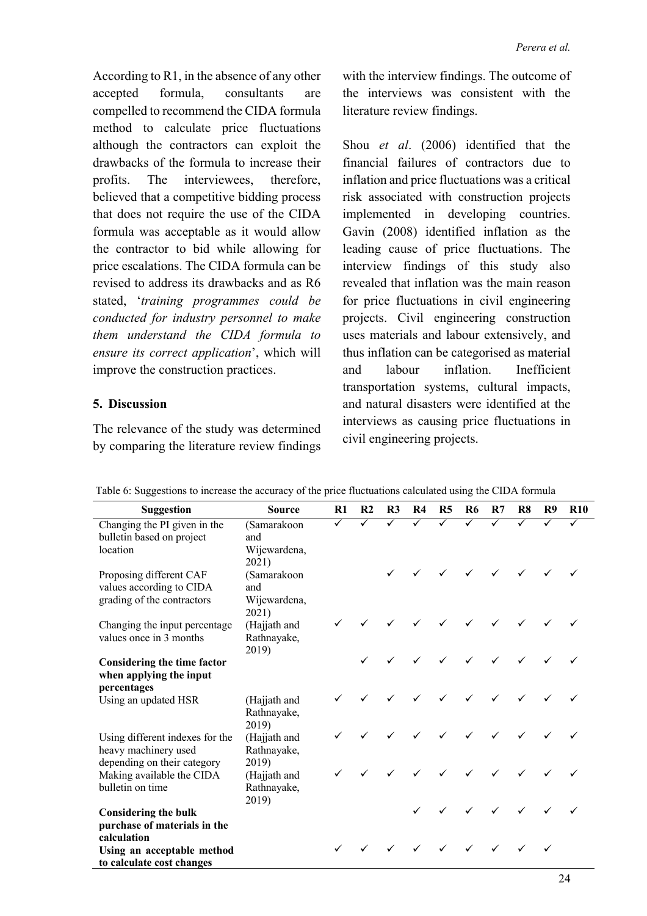According to R1, in the absence of any other accepted formula, consultants are compelled to recommend the CIDA formula method to calculate price fluctuations although the contractors can exploit the drawbacks of the formula to increase their profits. The interviewees, therefore, believed that a competitive bidding process that does not require the use of the CIDA formula was acceptable as it would allow the contractor to bid while allowing for price escalations. The CIDA formula can be revised to address its drawbacks and as R6 stated, '*training programmes could be conducted for industry personnel to make them understand the CIDA formula to ensure its correct application*', which will improve the construction practices.

### **5. Discussion**

The relevance of the study was determined by comparing the literature review findings

with the interview findings. The outcome of the interviews was consistent with the literature review findings.

Shou *et al*. (2006) identified that the financial failures of contractors due to inflation and price fluctuations was a critical risk associated with construction projects implemented in developing countries. Gavin (2008) identified inflation as the leading cause of price fluctuations. The interview findings of this study also revealed that inflation was the main reason for price fluctuations in civil engineering projects. Civil engineering construction uses materials and labour extensively, and thus inflation can be categorised as material and labour inflation. Inefficient transportation systems, cultural impacts, and natural disasters were identified at the interviews as causing price fluctuations in civil engineering projects.

| Suggestion                                                                             | <b>Source</b>                                        | $\mathbf{R}1$ | R <sub>2</sub>          | R3           | <b>R4</b>    | <b>R5</b>    | R6           | R7           | R8           | R9           | <b>R10</b> |
|----------------------------------------------------------------------------------------|------------------------------------------------------|---------------|-------------------------|--------------|--------------|--------------|--------------|--------------|--------------|--------------|------------|
| Changing the PI given in the<br>bulletin based on project<br>location                  | (Samarakoon<br>and<br>Wijewardena,                   | $\checkmark$  | $\overline{\checkmark}$ | $\checkmark$ | $\checkmark$ | $\checkmark$ | $\checkmark$ | $\checkmark$ | $\checkmark$ | $\checkmark$ |            |
| Proposing different CAF<br>values according to CIDA<br>grading of the contractors      | 2021)<br>(Samarakoon<br>and<br>Wijewardena,<br>2021) |               |                         |              |              | $\checkmark$ | $\checkmark$ | $\checkmark$ | $\checkmark$ | $\checkmark$ |            |
| Changing the input percentage<br>values once in 3 months                               | (Hajjath and<br>Rathnayake,<br>2019)                 |               |                         |              |              |              | $\checkmark$ | $\checkmark$ |              |              |            |
| Considering the time factor<br>when applying the input                                 |                                                      |               |                         |              |              | $\checkmark$ | $\checkmark$ | $\checkmark$ | $\checkmark$ |              |            |
| percentages<br>Using an updated HSR                                                    | (Hajjath and<br>Rathnayake,<br>2019)                 |               |                         |              |              |              | $\checkmark$ | $\checkmark$ |              |              |            |
| Using different indexes for the<br>heavy machinery used<br>depending on their category | (Hajjath and<br>Rathnayake,<br>2019)                 |               |                         |              |              | $\checkmark$ | $\checkmark$ | $\checkmark$ | $\checkmark$ |              |            |
| Making available the CIDA<br>bulletin on time                                          | (Hajjath and<br>Rathnayake,                          |               |                         |              |              |              | $\checkmark$ | $\checkmark$ |              |              |            |
| <b>Considering the bulk</b><br>purchase of materials in the                            | 2019)                                                |               |                         |              |              |              | $\checkmark$ | $\checkmark$ | $\checkmark$ | $\checkmark$ |            |
| calculation<br>Using an acceptable method<br>to calculate cost changes                 |                                                      |               |                         | $\checkmark$ | $\checkmark$ | $\checkmark$ | $\checkmark$ | $\checkmark$ |              |              |            |

Table 6: Suggestions to increase the accuracy of the price fluctuations calculated using the CIDA formula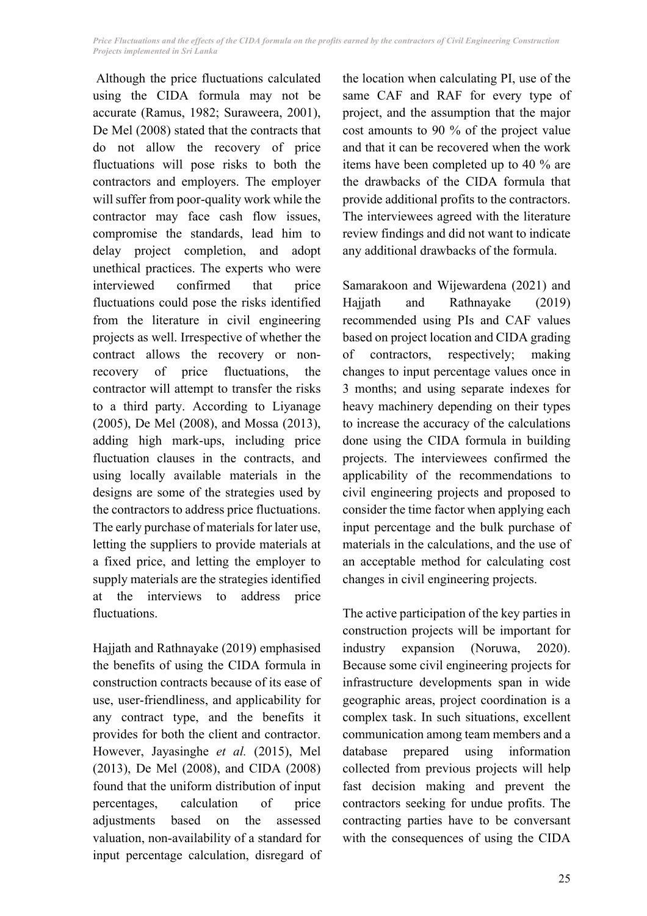Although the price fluctuations calculated using the CIDA formula may not be accurate (Ramus, 1982; Suraweera, 2001), De Mel (2008) stated that the contracts that do not allow the recovery of price fluctuations will pose risks to both the contractors and employers. The employer will suffer from poor-quality work while the contractor may face cash flow issues, compromise the standards, lead him to delay project completion, and adopt unethical practices. The experts who were interviewed confirmed that price fluctuations could pose the risks identified from the literature in civil engineering projects as well. Irrespective of whether the contract allows the recovery or nonrecovery of price fluctuations, the contractor will attempt to transfer the risks to a third party. According to Liyanage (2005), De Mel (2008), and Mossa (2013), adding high mark-ups, including price fluctuation clauses in the contracts, and using locally available materials in the designs are some of the strategies used by the contractors to address price fluctuations. The early purchase of materials for later use, letting the suppliers to provide materials at a fixed price, and letting the employer to supply materials are the strategies identified at the interviews to address price fluctuations.

Hajjath and Rathnayake (2019) emphasised the benefits of using the CIDA formula in construction contracts because of its ease of use, user-friendliness, and applicability for any contract type, and the benefits it provides for both the client and contractor. However, Jayasinghe *et al.* (2015), Mel (2013), De Mel (2008), and CIDA (2008) found that the uniform distribution of input percentages, calculation of price adjustments based on the assessed valuation, non-availability of a standard for input percentage calculation, disregard of the location when calculating PI, use of the same CAF and RAF for every type of project, and the assumption that the major cost amounts to 90 % of the project value and that it can be recovered when the work items have been completed up to 40 % are the drawbacks of the CIDA formula that provide additional profits to the contractors. The interviewees agreed with the literature review findings and did not want to indicate any additional drawbacks of the formula.

Samarakoon and Wijewardena (2021) and Hajjath and Rathnayake (2019) recommended using PIs and CAF values based on project location and CIDA grading of contractors, respectively; making changes to input percentage values once in 3 months; and using separate indexes for heavy machinery depending on their types to increase the accuracy of the calculations done using the CIDA formula in building projects. The interviewees confirmed the applicability of the recommendations to civil engineering projects and proposed to consider the time factor when applying each input percentage and the bulk purchase of materials in the calculations, and the use of an acceptable method for calculating cost changes in civil engineering projects.

The active participation of the key parties in construction projects will be important for industry expansion (Noruwa, 2020). Because some civil engineering projects for infrastructure developments span in wide geographic areas, project coordination is a complex task. In such situations, excellent communication among team members and a database prepared using information collected from previous projects will help fast decision making and prevent the contractors seeking for undue profits. The contracting parties have to be conversant with the consequences of using the CIDA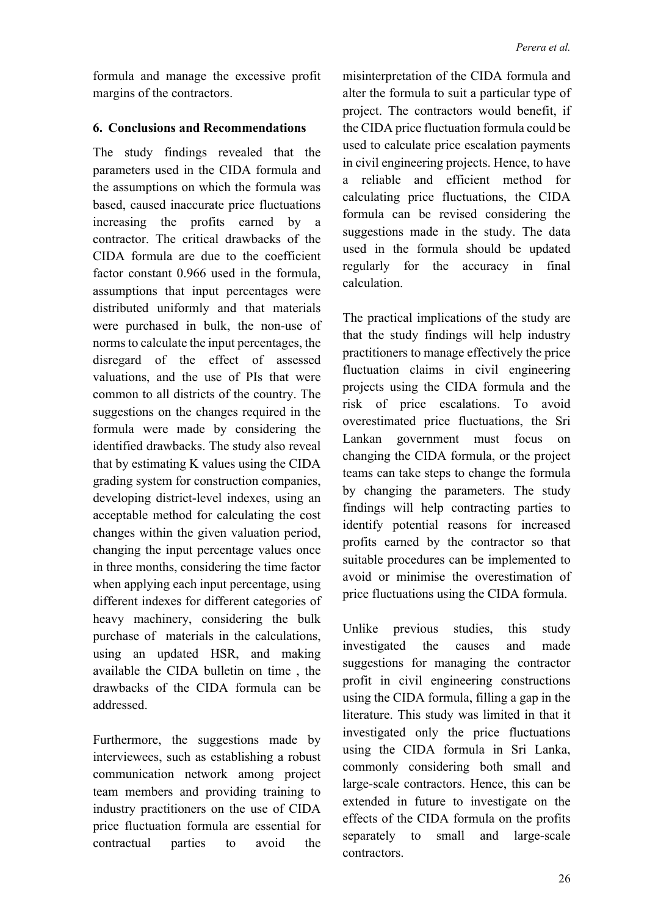formula and manage the excessive profit margins of the contractors.

### **6. Conclusions and Recommendations**

The study findings revealed that the parameters used in the CIDA formula and the assumptions on which the formula was based, caused inaccurate price fluctuations increasing the profits earned by a contractor. The critical drawbacks of the CIDA formula are due to the coefficient factor constant 0.966 used in the formula, assumptions that input percentages were distributed uniformly and that materials were purchased in bulk, the non-use of norms to calculate the input percentages, the disregard of the effect of assessed valuations, and the use of PIs that were common to all districts of the country. The suggestions on the changes required in the formula were made by considering the identified drawbacks. The study also reveal that by estimating K values using the CIDA grading system for construction companies, developing district-level indexes, using an acceptable method for calculating the cost changes within the given valuation period, changing the input percentage values once in three months, considering the time factor when applying each input percentage, using different indexes for different categories of heavy machinery, considering the bulk purchase of materials in the calculations, using an updated HSR, and making available the CIDA bulletin on time , the drawbacks of the CIDA formula can be addressed.

Furthermore, the suggestions made by interviewees, such as establishing a robust communication network among project team members and providing training to industry practitioners on the use of CIDA price fluctuation formula are essential for contractual parties to avoid the misinterpretation of the CIDA formula and alter the formula to suit a particular type of project. The contractors would benefit, if the CIDA price fluctuation formula could be used to calculate price escalation payments in civil engineering projects. Hence, to have a reliable and efficient method for calculating price fluctuations, the CIDA formula can be revised considering the suggestions made in the study. The data used in the formula should be updated regularly for the accuracy in final calculation.

The practical implications of the study are that the study findings will help industry practitioners to manage effectively the price fluctuation claims in civil engineering projects using the CIDA formula and the risk of price escalations. To avoid overestimated price fluctuations, the Sri Lankan government must focus on changing the CIDA formula, or the project teams can take steps to change the formula by changing the parameters. The study findings will help contracting parties to identify potential reasons for increased profits earned by the contractor so that suitable procedures can be implemented to avoid or minimise the overestimation of price fluctuations using the CIDA formula.

Unlike previous studies, this study investigated the causes and made suggestions for managing the contractor profit in civil engineering constructions using the CIDA formula, filling a gap in the literature. This study was limited in that it investigated only the price fluctuations using the CIDA formula in Sri Lanka, commonly considering both small and large-scale contractors. Hence, this can be extended in future to investigate on the effects of the CIDA formula on the profits separately to small and large-scale contractors.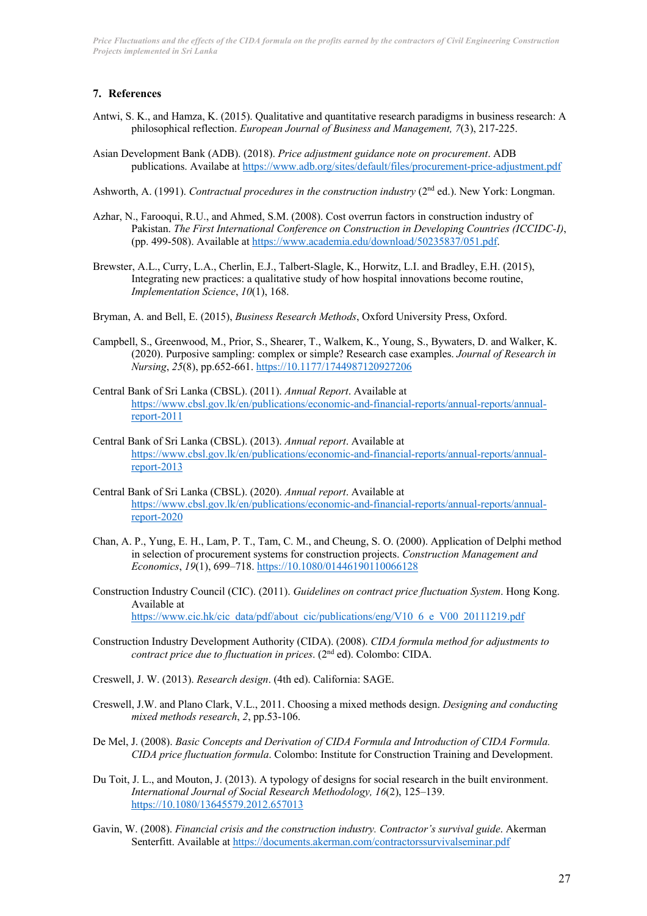*Price Fluctuations and the effects of the CIDA formula on the profits earned by the contractors of Civil Engineering Construction Projects implemented in Sri Lanka* 

#### **7. References**

- Antwi, S. K., and Hamza, K. (2015). Qualitative and quantitative research paradigms in business research: A philosophical reflection. *European Journal of Business and Management, 7*(3), 217-225.
- Asian Development Bank (ADB). (2018). *Price adjustment guidance note on procurement*. ADB publications. Availabe at https://www.adb.org/sites/default/files/procurement-price-adjustment.pdf

Ashworth, A. (1991). *Contractual procedures in the construction industry* (2nd ed.). New York: Longman.

- Azhar, N., Farooqui, R.U., and Ahmed, S.M. (2008). Cost overrun factors in construction industry of Pakistan. *The First International Conference on Construction in Developing Countries (ICCIDC-I)*, (pp. 499-508). Available at https://www.academia.edu/download/50235837/051.pdf.
- Brewster, A.L., Curry, L.A., Cherlin, E.J., Talbert-Slagle, K., Horwitz, L.I. and Bradley, E.H. (2015), Integrating new practices: a qualitative study of how hospital innovations become routine, *Implementation Science*, *10*(1), 168.
- Bryman, A. and Bell, E. (2015), *Business Research Methods*, Oxford University Press, Oxford.
- Campbell, S., Greenwood, M., Prior, S., Shearer, T., Walkem, K., Young, S., Bywaters, D. and Walker, K. (2020). Purposive sampling: complex or simple? Research case examples. *Journal of Research in Nursing*, *25*(8), pp.652-661. https://10.1177/1744987120927206
- Central Bank of Sri Lanka (CBSL). (2011). *Annual Report*. Available at https://www.cbsl.gov.lk/en/publications/economic-and-financial-reports/annual-reports/annualreport-2011
- Central Bank of Sri Lanka (CBSL). (2013). *Annual report*. Available at https://www.cbsl.gov.lk/en/publications/economic-and-financial-reports/annual-reports/annualreport-2013
- Central Bank of Sri Lanka (CBSL). (2020). *Annual report*. Available at https://www.cbsl.gov.lk/en/publications/economic-and-financial-reports/annual-reports/annualreport-2020
- Chan, A. P., Yung, E. H., Lam, P. T., Tam, C. M., and Cheung, S. O. (2000). Application of Delphi method in selection of procurement systems for construction projects. *Construction Management and Economics*, *19*(1), 699–718. https://10.1080/01446190110066128
- Construction Industry Council (CIC). (2011). *Guidelines on contract price fluctuation System*. Hong Kong. Available at https://www.cic.hk/cic\_data/pdf/about\_cic/publications/eng/V10\_6\_e\_V00\_20111219.pdf
- Construction Industry Development Authority (CIDA). (2008). *CIDA formula method for adjustments to contract price due to fluctuation in prices*. (2nd ed). Colombo: CIDA.
- Creswell, J. W. (2013). *Research design*. (4th ed). California: SAGE.
- Creswell, J.W. and Plano Clark, V.L., 2011. Choosing a mixed methods design. *Designing and conducting mixed methods research*, *2*, pp.53-106.
- De Mel, J. (2008). *Basic Concepts and Derivation of CIDA Formula and Introduction of CIDA Formula. CIDA price fluctuation formula*. Colombo: Institute for Construction Training and Development.
- Du Toit, J. L., and Mouton, J. (2013). A typology of designs for social research in the built environment. *International Journal of Social Research Methodology, 16*(2), 125–139. https://10.1080/13645579.2012.657013
- Gavin, W. (2008). *Financial crisis and the construction industry. Contractor's survival guide*. Akerman Senterfitt. Available at https://documents.akerman.com/contractorssurvivalseminar.pdf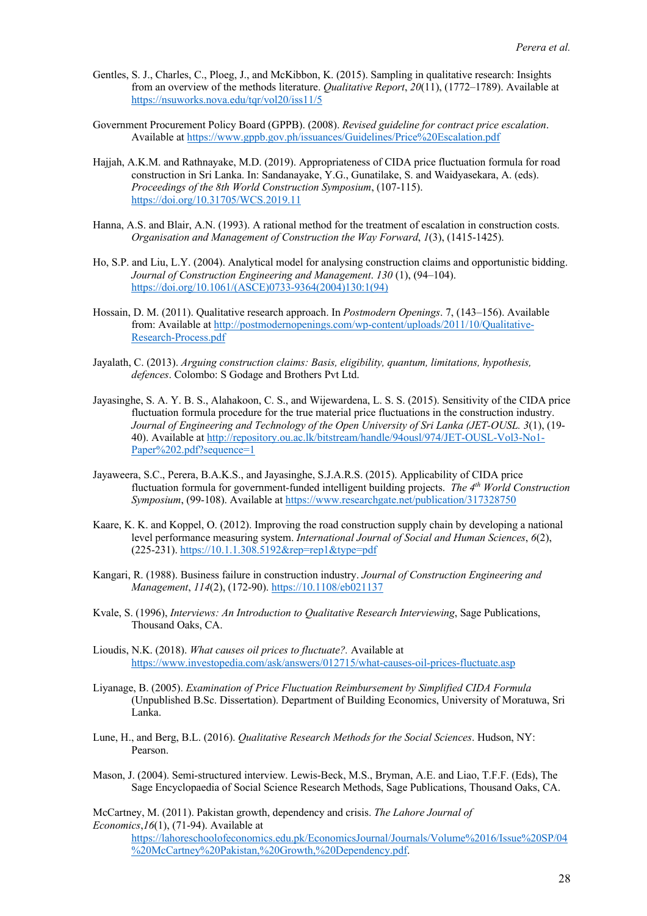- Gentles, S. J., Charles, C., Ploeg, J., and McKibbon, K. (2015). Sampling in qualitative research: Insights from an overview of the methods literature. *Qualitative Report*, *20*(11), (1772–1789). Available at https://nsuworks.nova.edu/tqr/vol20/iss11/5
- Government Procurement Policy Board (GPPB). (2008). *Revised guideline for contract price escalation*. Available at https://www.gppb.gov.ph/issuances/Guidelines/Price%20Escalation.pdf
- Hajjah, A.K.M. and Rathnayake, M.D. (2019). Appropriateness of CIDA price fluctuation formula for road construction in Sri Lanka. In: Sandanayake, Y.G., Gunatilake, S. and Waidyasekara, A. (eds). *Proceedings of the 8th World Construction Symposium*, (107-115). https://doi.org/10.31705/WCS.2019.11
- Hanna, A.S. and Blair, A.N. (1993). A rational method for the treatment of escalation in construction costs. *Organisation and Management of Construction the Way Forward*, *1*(3), (1415-1425).
- Ho, S.P. and Liu, L.Y. (2004). Analytical model for analysing construction claims and opportunistic bidding. *Journal of Construction Engineering and Management*. *130* (1), (94–104). https://doi.org/10.1061/(ASCE)0733-9364(2004)130:1(94)
- Hossain, D. M. (2011). Qualitative research approach. In *Postmodern Openings*. 7, (143–156). Available from: Available at http://postmodernopenings.com/wp-content/uploads/2011/10/Qualitative-Research-Process.pdf
- Jayalath, C. (2013). *Arguing construction claims: Basis, eligibility, quantum, limitations, hypothesis, defences*. Colombo: S Godage and Brothers Pvt Ltd.
- Jayasinghe, S. A. Y. B. S., Alahakoon, C. S., and Wijewardena, L. S. S. (2015). Sensitivity of the CIDA price fluctuation formula procedure for the true material price fluctuations in the construction industry. *Journal of Engineering and Technology of the Open University of Sri Lanka (JET-OUSL. 3*(1), (19- 40). Available at http://repository.ou.ac.lk/bitstream/handle/94ousl/974/JET-OUSL-Vol3-No1- Paper%202.pdf?sequence=1
- Jayaweera, S.C., Perera, B.A.K.S., and Jayasinghe, S.J.A.R.S. (2015). Applicability of CIDA price fluctuation formula for government-funded intelligent building projects. *The 4th World Construction Symposium*, (99-108). Available at https://www.researchgate.net/publication/317328750
- Kaare, K. K. and Koppel, O. (2012). Improving the road construction supply chain by developing a national level performance measuring system. *International Journal of Social and Human Sciences*, *6*(2), (225-231). https://10.1.1.308.5192&rep=rep1&type=pdf
- Kangari, R. (1988). Business failure in construction industry. *Journal of Construction Engineering and Management*, *114*(2), (172-90). https://10.1108/eb021137
- Kvale, S. (1996), *Interviews: An Introduction to Qualitative Research Interviewing*, Sage Publications, Thousand Oaks, CA.
- Lioudis, N.K. (2018). *What causes oil prices to fluctuate?.* Available at https://www.investopedia.com/ask/answers/012715/what-causes-oil-prices-fluctuate.asp
- Liyanage, B. (2005). *Examination of Price Fluctuation Reimbursement by Simplified CIDA Formula* (Unpublished B.Sc. Dissertation). Department of Building Economics, University of Moratuwa, Sri Lanka.
- Lune, H., and Berg, B.L. (2016). *Qualitative Research Methods for the Social Sciences*. Hudson, NY: Pearson.
- Mason, J. (2004). Semi-structured interview. Lewis-Beck, M.S., Bryman, A.E. and Liao, T.F.F. (Eds), The Sage Encyclopaedia of Social Science Research Methods, Sage Publications, Thousand Oaks, CA.

McCartney, M. (2011). Pakistan growth, dependency and crisis. *The Lahore Journal of Economics*,*16*(1), (71-94). Available at

https://lahoreschoolofeconomics.edu.pk/EconomicsJournal/Journals/Volume%2016/Issue%20SP/04 %20McCartney%20Pakistan,%20Growth,%20Dependency.pdf.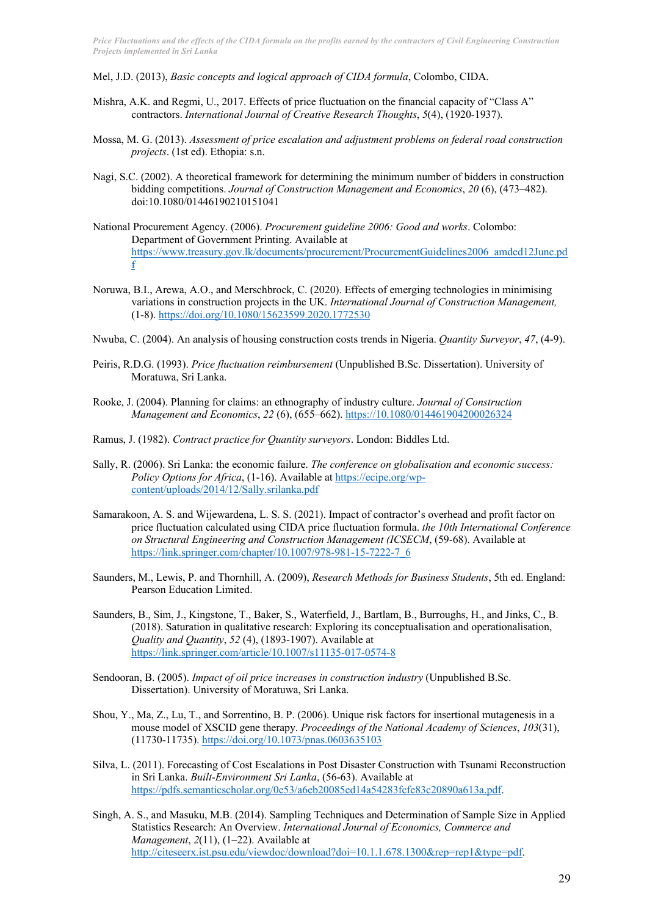Mel, J.D. (2013), *Basic concepts and logical approach of CIDA formula*, Colombo, CIDA.

- Mishra, A.K. and Regmi, U., 2017. Effects of price fluctuation on the financial capacity of "Class A" contractors. *International Journal of Creative Research Thoughts*, *5*(4), (1920-1937).
- Mossa, M. G. (2013). *Assessment of price escalation and adjustment problems on federal road construction projects*. (1st ed). Ethopia: s.n.
- Nagi, S.C. (2002). A theoretical framework for determining the minimum number of bidders in construction bidding competitions. *Journal of Construction Management and Economics*, *20* (6), (473–482). doi:10.1080/01446190210151041
- National Procurement Agency. (2006). *Procurement guideline 2006: Good and works*. Colombo: Department of Government Printing. Available at https://www.treasury.gov.lk/documents/procurement/ProcurementGuidelines2006\_amded12June.pd f
- Noruwa, B.I., Arewa, A.O., and Merschbrock, C. (2020). Effects of emerging technologies in minimising variations in construction projects in the UK. *International Journal of Construction Management,* (1-8). https://doi.org/10.1080/15623599.2020.1772530
- Nwuba, C. (2004). An analysis of housing construction costs trends in Nigeria. *Quantity Surveyor*, *47*, (4-9).
- Peiris, R.D.G. (1993). *Price fluctuation reimbursement* (Unpublished B.Sc. Dissertation). University of Moratuwa, Sri Lanka.
- Rooke, J. (2004). Planning for claims: an ethnography of industry culture. *Journal of Construction Management and Economics*, *22* (6), (655–662). https://10.1080/014461904200026324
- Ramus, J. (1982). *Contract practice for Quantity surveyors*. London: Biddles Ltd.
- Sally, R. (2006). Sri Lanka: the economic failure. *The conference on globalisation and economic success: Policy Options for Africa*, (1-16). Available at https://ecipe.org/wpcontent/uploads/2014/12/Sally.srilanka.pdf
- Samarakoon, A. S. and Wijewardena, L. S. S. (2021). Impact of contractor's overhead and profit factor on price fluctuation calculated using CIDA price fluctuation formula. *the 10th International Conference on Structural Engineering and Construction Management (ICSECM*, (59-68). Available at https://link.springer.com/chapter/10.1007/978-981-15-7222-7\_6
- Saunders, M., Lewis, P. and Thornhill, A. (2009), *Research Methods for Business Students*, 5th ed. England: Pearson Education Limited.
- Saunders, B., Sim, J., Kingstone, T., Baker, S., Waterfield, J., Bartlam, B., Burroughs, H., and Jinks, C., B. (2018). Saturation in qualitative research: Exploring its conceptualisation and operationalisation, *Quality and Quantity*, *52* (4), (1893-1907). Available at https://link.springer.com/article/10.1007/s11135-017-0574-8
- Sendooran, B. (2005). *Impact of oil price increases in construction industry* (Unpublished B.Sc. Dissertation). University of Moratuwa, Sri Lanka.
- Shou, Y., Ma, Z., Lu, T., and Sorrentino, B. P. (2006). Unique risk factors for insertional mutagenesis in a mouse model of XSCID gene therapy. *Proceedings of the National Academy of Sciences*, *103*(31), (11730-11735). https://doi.org/10.1073/pnas.0603635103
- Silva, L. (2011). Forecasting of Cost Escalations in Post Disaster Construction with Tsunami Reconstruction in Sri Lanka. *Built-Environment Sri Lanka*, (56-63). Available at https://pdfs.semanticscholar.org/0e53/a6eb20085ed14a54283fcfe83c20890a613a.pdf.
- Singh, A. S., and Masuku, M.B. (2014). Sampling Techniques and Determination of Sample Size in Applied Statistics Research: An Overview. *International Journal of Economics, Commerce and Management*, *2*(11), (1–22). Available at http://citeseerx.ist.psu.edu/viewdoc/download?doi=10.1.1.678.1300&rep=rep1&type=pdf.